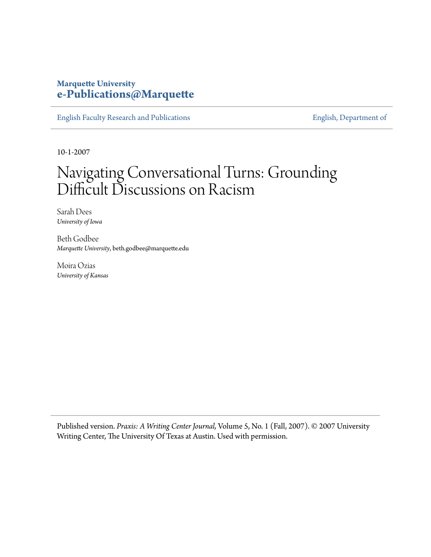### **Marquette University [e-Publications@Marquette](https://epublications.marquette.edu)**

[English Faculty Research and Publications](https://epublications.marquette.edu/english_fac) **[English, Department of](https://epublications.marquette.edu/english)** 

10-1-2007

## Navigating Conversational Turns: Grounding Difficult Discussions on Racism

Sarah Dees *University of Iowa*

Beth Godbee *Marquette University*, beth.godbee@marquette.edu

Moira Ozias *University of Kansas*

Published version. *Praxis: A Writing Center Journal,* Volume 5, No. 1 (Fall, 2007). © 2007 University Writing Center, The University Of Texas at Austin. Used with permission.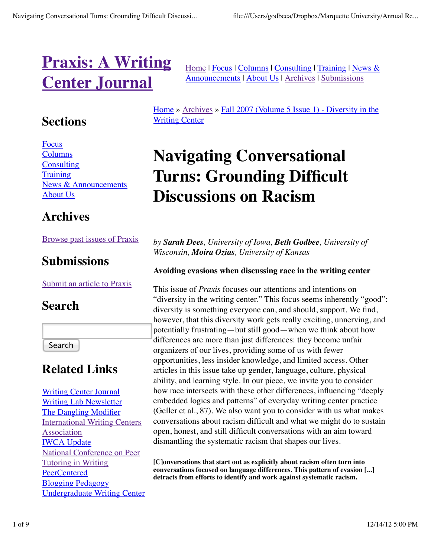# **Praxis: A Writing Center Journal**

## **Sections**

Focus **Columns Consulting Training** News & Announcements About Us

## **Archives**

### Browse past issues of Praxis

## **Submissions**

Submit an article to Praxis

## **Search**

Search

## **Related Links**

Writing Center Journal Writing Lab Newsletter The Dangling Modifier International Writing Centers Association IWCA Update National Conference on Peer Tutoring in Writing PeerCentered Blogging Pedagogy Undergraduate Writing Center Home | Focus | Columns | Consulting | Training | News & Announcements | About Us | Archives | Submissions

Home » Archives » Fall 2007 (Volume 5 Issue 1) - Diversity in the Writing Center

# **Navigating Conversational Turns: Grounding Difficult Discussions on Racism**

*by Sarah Dees, University of Iowa, Beth Godbee, University of Wisconsin, Moira Ozias, University of Kansas*

### **Avoiding evasions when discussing race in the writing center**

This issue of *Praxis* focuses our attentions and intentions on "diversity in the writing center." This focus seems inherently "good": diversity is something everyone can, and should, support. We find, however, that this diversity work gets really exciting, unnerving, and potentially frustrating—but still good—when we think about how differences are more than just differences: they become unfair organizers of our lives, providing some of us with fewer opportunities, less insider knowledge, and limited access. Other articles in this issue take up gender, language, culture, physical ability, and learning style. In our piece, we invite you to consider how race intersects with these other differences, influencing "deeply embedded logics and patterns" of everyday writing center practice (Geller et al., 87). We also want you to consider with us what makes conversations about racism difficult and what we might do to sustain open, honest, and still difficult conversations with an aim toward dismantling the systematic racism that shapes our lives.

**[C]onversations that start out as explicitly about racism often turn into conversations focused on language differences. This pattern of evasion [...] detracts from efforts to identify and work against systematic racism.**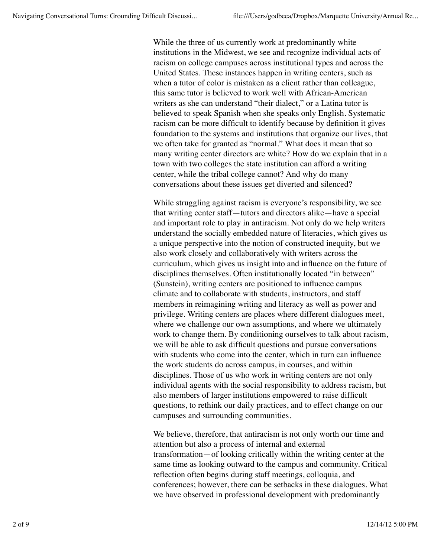While the three of us currently work at predominantly white institutions in the Midwest, we see and recognize individual acts of racism on college campuses across institutional types and across the United States. These instances happen in writing centers, such as when a tutor of color is mistaken as a client rather than colleague, this same tutor is believed to work well with African-American writers as she can understand "their dialect," or a Latina tutor is believed to speak Spanish when she speaks only English. Systematic racism can be more difficult to identify because by definition it gives foundation to the systems and institutions that organize our lives, that we often take for granted as "normal." What does it mean that so many writing center directors are white? How do we explain that in a town with two colleges the state institution can afford a writing center, while the tribal college cannot? And why do many conversations about these issues get diverted and silenced?

While struggling against racism is everyone's responsibility, we see that writing center staff—tutors and directors alike—have a special and important role to play in antiracism. Not only do we help writers understand the socially embedded nature of literacies, which gives us a unique perspective into the notion of constructed inequity, but we also work closely and collaboratively with writers across the curriculum, which gives us insight into and influence on the future of disciplines themselves. Often institutionally located "in between" (Sunstein), writing centers are positioned to influence campus climate and to collaborate with students, instructors, and staff members in reimagining writing and literacy as well as power and privilege. Writing centers are places where different dialogues meet, where we challenge our own assumptions, and where we ultimately work to change them. By conditioning ourselves to talk about racism, we will be able to ask difficult questions and pursue conversations with students who come into the center, which in turn can influence the work students do across campus, in courses, and within disciplines. Those of us who work in writing centers are not only individual agents with the social responsibility to address racism, but also members of larger institutions empowered to raise difficult questions, to rethink our daily practices, and to effect change on our campuses and surrounding communities.

We believe, therefore, that antiracism is not only worth our time and attention but also a process of internal and external transformation—of looking critically within the writing center at the same time as looking outward to the campus and community. Critical reflection often begins during staff meetings, colloquia, and conferences; however, there can be setbacks in these dialogues. What we have observed in professional development with predominantly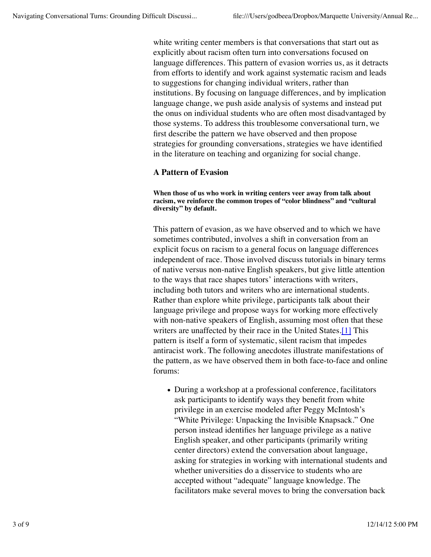white writing center members is that conversations that start out as explicitly about racism often turn into conversations focused on language differences. This pattern of evasion worries us, as it detracts from efforts to identify and work against systematic racism and leads to suggestions for changing individual writers, rather than institutions. By focusing on language differences, and by implication language change, we push aside analysis of systems and instead put the onus on individual students who are often most disadvantaged by those systems. To address this troublesome conversational turn, we first describe the pattern we have observed and then propose strategies for grounding conversations, strategies we have identified in the literature on teaching and organizing for social change.

### **A Pattern of Evasion**

**When those of us who work in writing centers veer away from talk about racism, we reinforce the common tropes of "color blindness" and "cultural diversity" by default.**

This pattern of evasion, as we have observed and to which we have sometimes contributed, involves a shift in conversation from an explicit focus on racism to a general focus on language differences independent of race. Those involved discuss tutorials in binary terms of native versus non-native English speakers, but give little attention to the ways that race shapes tutors' interactions with writers, including both tutors and writers who are international students. Rather than explore white privilege, participants talk about their language privilege and propose ways for working more effectively with non-native speakers of English, assuming most often that these writers are unaffected by their race in the United States.[1] This pattern is itself a form of systematic, silent racism that impedes antiracist work. The following anecdotes illustrate manifestations of the pattern, as we have observed them in both face-to-face and online forums:

• During a workshop at a professional conference, facilitators ask participants to identify ways they benefit from white privilege in an exercise modeled after Peggy McIntosh's "White Privilege: Unpacking the Invisible Knapsack." One person instead identifies her language privilege as a native English speaker, and other participants (primarily writing center directors) extend the conversation about language, asking for strategies in working with international students and whether universities do a disservice to students who are accepted without "adequate" language knowledge. The facilitators make several moves to bring the conversation back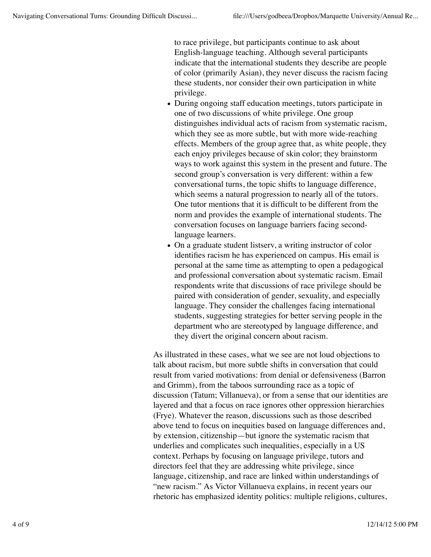to race privilege, but participants continue to ask about English-language teaching. Although several participants indicate that the international students they describe are people of color (primarily Asian), they never discuss the racism facing these students, nor consider their own participation in white privilege.

- During ongoing staff education meetings, tutors participate in one of two discussions of white privilege. One group distinguishes individual acts of racism from systematic racism, which they see as more subtle, but with more wide-reaching effects. Members of the group agree that, as white people, they each enjoy privileges because of skin color; they brainstorm ways to work against this system in the present and future. The second group's conversation is very different: within a few conversational turns, the topic shifts to language difference, which seems a natural progression to nearly all of the tutors. One tutor mentions that it is difficult to be different from the norm and provides the example of international students. The conversation focuses on language barriers facing secondlanguage learners.
- On a graduate student listserv, a writing instructor of color identifies racism he has experienced on campus. His email is personal at the same time as attempting to open a pedagogical and professional conversation about systematic racism. Email respondents write that discussions of race privilege should be paired with consideration of gender, sexuality, and especially language. They consider the challenges facing international students, suggesting strategies for better serving people in the department who are stereotyped by language difference, and they divert the original concern about racism.

As illustrated in these cases, what we see are not loud objections to talk about racism, but more subtle shifts in conversation that could result from varied motivations: from denial or defensiveness (Barron and Grimm), from the taboos surrounding race as a topic of discussion (Tatum; Villanueva), or from a sense that our identities are layered and that a focus on race ignores other oppression hierarchies (Frye). Whatever the reason, discussions such as those described above tend to focus on inequities based on language differences and, by extension, citizenship—but ignore the systematic racism that underlies and complicates such inequalities, especially in a US context. Perhaps by focusing on language privilege, tutors and directors feel that they are addressing white privilege, since language, citizenship, and race are linked within understandings of "new racism." As Victor Villanueva explains, in recent years our rhetoric has emphasized identity politics: multiple religions, cultures,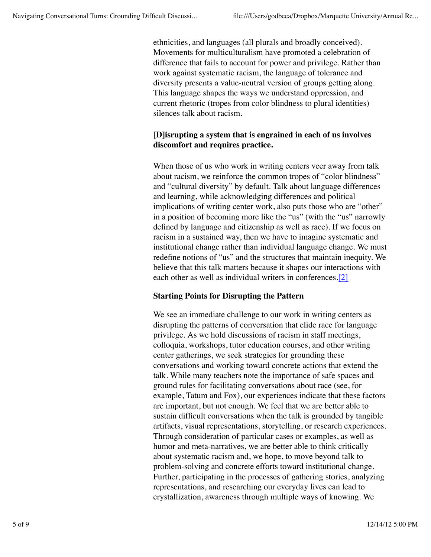ethnicities, and languages (all plurals and broadly conceived). Movements for multiculturalism have promoted a celebration of difference that fails to account for power and privilege. Rather than work against systematic racism, the language of tolerance and diversity presents a value-neutral version of groups getting along. This language shapes the ways we understand oppression, and current rhetoric (tropes from color blindness to plural identities) silences talk about racism.

### **[D]isrupting a system that is engrained in each of us involves discomfort and requires practice.**

When those of us who work in writing centers veer away from talk about racism, we reinforce the common tropes of "color blindness" and "cultural diversity" by default. Talk about language differences and learning, while acknowledging differences and political implications of writing center work, also puts those who are "other" in a position of becoming more like the "us" (with the "us" narrowly defined by language and citizenship as well as race). If we focus on racism in a sustained way, then we have to imagine systematic and institutional change rather than individual language change. We must redefine notions of "us" and the structures that maintain inequity. We believe that this talk matters because it shapes our interactions with each other as well as individual writers in conferences.[2]

### **Starting Points for Disrupting the Pattern**

We see an immediate challenge to our work in writing centers as disrupting the patterns of conversation that elide race for language privilege. As we hold discussions of racism in staff meetings, colloquia, workshops, tutor education courses, and other writing center gatherings, we seek strategies for grounding these conversations and working toward concrete actions that extend the talk. While many teachers note the importance of safe spaces and ground rules for facilitating conversations about race (see, for example, Tatum and Fox), our experiences indicate that these factors are important, but not enough. We feel that we are better able to sustain difficult conversations when the talk is grounded by tangible artifacts, visual representations, storytelling, or research experiences. Through consideration of particular cases or examples, as well as humor and meta-narratives, we are better able to think critically about systematic racism and, we hope, to move beyond talk to problem-solving and concrete efforts toward institutional change. Further, participating in the processes of gathering stories, analyzing representations, and researching our everyday lives can lead to crystallization, awareness through multiple ways of knowing. We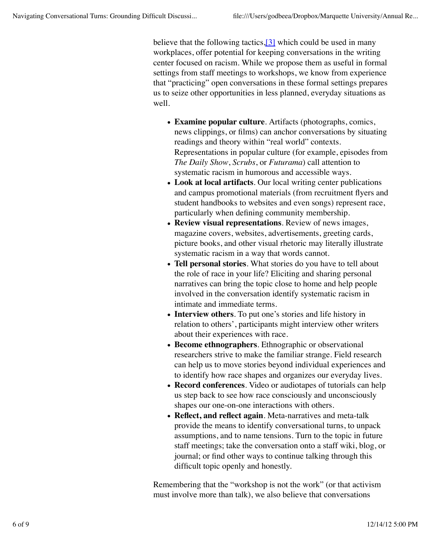believe that the following tactics,[3] which could be used in many workplaces, offer potential for keeping conversations in the writing center focused on racism. While we propose them as useful in formal settings from staff meetings to workshops, we know from experience that "practicing" open conversations in these formal settings prepares us to seize other opportunities in less planned, everyday situations as well.

- **Examine popular culture**. Artifacts (photographs, comics, news clippings, or films) can anchor conversations by situating readings and theory within "real world" contexts. Representations in popular culture (for example, episodes from *The Daily Show*, *Scrubs*, or *Futurama*) call attention to systematic racism in humorous and accessible ways.
- **Look at local artifacts**. Our local writing center publications and campus promotional materials (from recruitment flyers and student handbooks to websites and even songs) represent race, particularly when defining community membership.
- **Review visual representations**. Review of news images, magazine covers, websites, advertisements, greeting cards, picture books, and other visual rhetoric may literally illustrate systematic racism in a way that words cannot.
- **Tell personal stories**. What stories do you have to tell about the role of race in your life? Eliciting and sharing personal narratives can bring the topic close to home and help people involved in the conversation identify systematic racism in intimate and immediate terms.
- **Interview others**. To put one's stories and life history in relation to others', participants might interview other writers about their experiences with race.
- **Become ethnographers**. Ethnographic or observational researchers strive to make the familiar strange. Field research can help us to move stories beyond individual experiences and to identify how race shapes and organizes our everyday lives.
- **Record conferences**. Video or audiotapes of tutorials can help us step back to see how race consciously and unconsciously shapes our one-on-one interactions with others.
- **Reflect, and reflect again**. Meta-narratives and meta-talk provide the means to identify conversational turns, to unpack assumptions, and to name tensions. Turn to the topic in future staff meetings; take the conversation onto a staff wiki, blog, or journal; or find other ways to continue talking through this difficult topic openly and honestly.

Remembering that the "workshop is not the work" (or that activism must involve more than talk), we also believe that conversations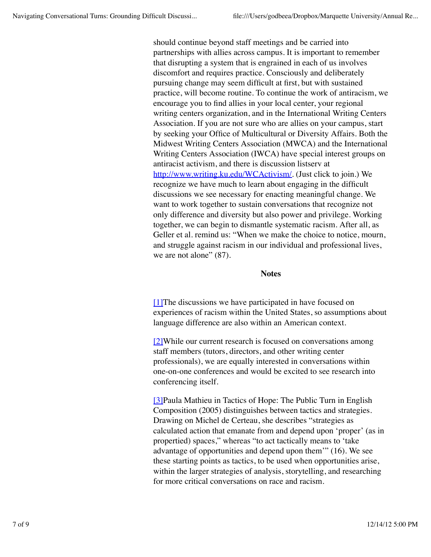should continue beyond staff meetings and be carried into partnerships with allies across campus. It is important to remember that disrupting a system that is engrained in each of us involves discomfort and requires practice. Consciously and deliberately pursuing change may seem difficult at first, but with sustained practice, will become routine. To continue the work of antiracism, we encourage you to find allies in your local center, your regional writing centers organization, and in the International Writing Centers Association. If you are not sure who are allies on your campus, start by seeking your Office of Multicultural or Diversity Affairs. Both the Midwest Writing Centers Association (MWCA) and the International Writing Centers Association (IWCA) have special interest groups on antiracist activism, and there is discussion listserv at http://www.writing.ku.edu/WCActivism/. (Just click to join.) We recognize we have much to learn about engaging in the difficult discussions we see necessary for enacting meaningful change. We want to work together to sustain conversations that recognize not only difference and diversity but also power and privilege. Working together, we can begin to dismantle systematic racism. After all, as Geller et al. remind us: "When we make the choice to notice, mourn, and struggle against racism in our individual and professional lives, we are not alone"  $(87)$ .

#### **Notes**

[1]The discussions we have participated in have focused on experiences of racism within the United States, so assumptions about language difference are also within an American context.

[2]While our current research is focused on conversations among staff members (tutors, directors, and other writing center professionals), we are equally interested in conversations within one-on-one conferences and would be excited to see research into conferencing itself.

[3]Paula Mathieu in Tactics of Hope: The Public Turn in English Composition (2005) distinguishes between tactics and strategies. Drawing on Michel de Certeau, she describes "strategies as calculated action that emanate from and depend upon 'proper' (as in propertied) spaces," whereas "to act tactically means to 'take advantage of opportunities and depend upon them'" (16). We see these starting points as tactics, to be used when opportunities arise, within the larger strategies of analysis, storytelling, and researching for more critical conversations on race and racism.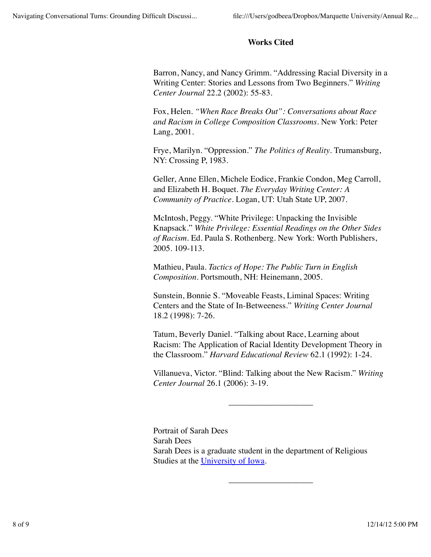### **Works Cited**

Barron, Nancy, and Nancy Grimm. "Addressing Racial Diversity in a Writing Center: Stories and Lessons from Two Beginners." *Writing Center Journal* 22.2 (2002): 55-83.

Fox, Helen. *"When Race Breaks Out": Conversations about Race and Racism in College Composition Classrooms*. New York: Peter Lang, 2001.

Frye, Marilyn. "Oppression." *The Politics of Reality*. Trumansburg, NY: Crossing P, 1983.

Geller, Anne Ellen, Michele Eodice, Frankie Condon, Meg Carroll, and Elizabeth H. Boquet. *The Everyday Writing Center: A Community of Practice*. Logan, UT: Utah State UP, 2007.

McIntosh, Peggy. "White Privilege: Unpacking the Invisible Knapsack." *White Privilege: Essential Readings on the Other Sides of Racism*. Ed. Paula S. Rothenberg. New York: Worth Publishers, 2005. 109-113.

Mathieu, Paula. *Tactics of Hope: The Public Turn in English Composition*. Portsmouth, NH: Heinemann, 2005.

Sunstein, Bonnie S. "Moveable Feasts, Liminal Spaces: Writing Centers and the State of In-Betweeness." *Writing Center Journal* 18.2 (1998): 7-26.

Tatum, Beverly Daniel. "Talking about Race, Learning about Racism: The Application of Racial Identity Development Theory in the Classroom." *Harvard Educational Review* 62.1 (1992): 1-24.

Villanueva, Victor. "Blind: Talking about the New Racism." *Writing Center Journal* 26.1 (2006): 3-19.

\_\_\_\_\_\_\_\_\_\_\_\_\_\_\_\_\_\_\_\_

\_\_\_\_\_\_\_\_\_\_\_\_\_\_\_\_\_\_\_\_

Portrait of Sarah Dees Sarah Dees Sarah Dees is a graduate student in the department of Religious Studies at the University of Iowa.